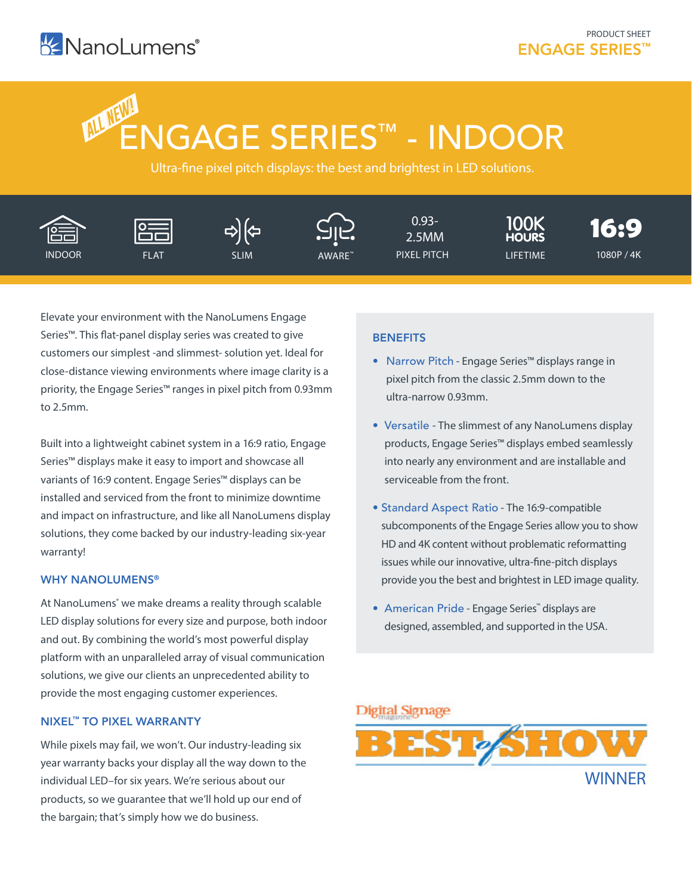# ENGAGE SERIES™ - INDOOR  **ALL NEW!**

Ultra-fine pixel pitch displays: the best and brightest in LED solutions.



Elevate your environment with the NanoLumens Engage Series™. This flat-panel display series was created to give customers our simplest -and slimmest- solution yet. Ideal for close-distance viewing environments where image clarity is a priority, the Engage Series™ ranges in pixel pitch from 0.93mm to 2.5mm.

Built into a lightweight cabinet system in a 16:9 ratio, Engage Series™ displays make it easy to import and showcase all variants of 16:9 content. Engage Series™ displays can be installed and serviced from the front to minimize downtime and impact on infrastructure, and like all NanoLumens display solutions, they come backed by our industry-leading six-year warranty!

### WHY NANOLUMENS®

At NanoLumens<sup>®</sup> we make dreams a reality through scalable LED display solutions for every size and purpose, both indoor and out. By combining the world's most powerful display platform with an unparalleled array of visual communication solutions, we give our clients an unprecedented ability to provide the most engaging customer experiences.

#### NIXEL™ TO PIXEL WARRANTY

While pixels may fail, we won't. Our industry-leading six year warranty backs your display all the way down to the individual LED–for six years. We're serious about our products, so we guarantee that we'll hold up our end of the bargain; that's simply how we do business.

## **BENEFITS**

- Narrow Pitch Engage Series™ displays range in pixel pitch from the classic 2.5mm down to the ultra-narrow 0.93mm.
- Versatile The slimmest of any NanoLumens display products, Engage Series™ displays embed seamlessly into nearly any environment and are installable and serviceable from the front.
- Standard Aspect Ratio The 16:9-compatible subcomponents of the Engage Series allow you to show HD and 4K content without problematic reformatting issues while our innovative, ultra-fine-pitch displays provide you the best and brightest in LED image quality.
- American Pride Engage Series™ displays are designed, assembled, and supported in the USA.

## **Digital Signage**